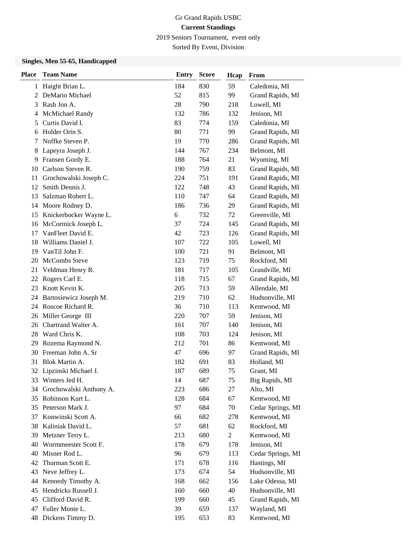2019 Seniors Tournament, event only

Sorted By Event, Division

# **Singles, Men 55-65, Handicapped**

| <b>Place</b> | <b>Team Name</b>        | <b>Entry</b> | <b>Score</b> | Hcap           | From              |
|--------------|-------------------------|--------------|--------------|----------------|-------------------|
| 1            | Haight Brian L.         | 184          | 830          | 59             | Caledonia, MI     |
| 2            | DeMario Michael         | 52           | 815          | 99             | Grand Rapids, MI  |
| 3            | Rash Jon A.             | 28           | 790          | 218            | Lowell, MI        |
| 4            | McMichael Randy         | 132          | 786          | 132            | Jenison, MI       |
| 5            | Curtis David I.         | 83           | 774          | 159            | Caledonia, MI     |
| 6            | Holder Orin S.          | 80           | 771          | 99             | Grand Rapids, MI  |
| 7            | Noffke Steven P.        | 19           | 770          | 286            | Grand Rapids, MI  |
| 8            | Lapeyra Joseph J.       | 144          | 767          | 234            | Belmont, MI       |
| 9            | Fransen Gordy E.        | 188          | 764          | 21             | Wyoming, MI       |
| 10           | Carlson Steven R.       | 190          | 759          | 83             | Grand Rapids, MI  |
| 11           | Grochowalski Joseph C.  | 224          | 751          | 191            | Grand Rapids, MI  |
| 12           | Smith Dennis J.         | 122          | 748          | 43             | Grand Rapids, MI  |
| 13           | Salzman Robert L.       | 110          | 747          | 64             | Grand Rapids, MI  |
| 14           | Moore Rodney D.         | 186          | 736          | 29             | Grand Rapids, MI  |
| 15           | Knickerbocker Wayne L.  | 6            | 732          | 72             | Greenville, MI    |
| 16           | McCormick Joseph L.     | 37           | 724          | 145            | Grand Rapids, MI  |
| 17           | VanFleet David E.       | 42           | 723          | 126            | Grand Rapids, MI  |
| 18           | Williams Daniel J.      | 107          | 722          | 105            | Lowell, MI        |
| 19           | VanTil John F.          | 100          | 721          | 91             | Belmont, MI       |
| 20           | McCombs Steve           | 123          | 719          | 75             | Rockford, MI      |
| 21           | Veldman Henry R.        | 181          | 717          | 105            | Grandville, MI    |
| 22           | Rogers Carl E.          | 118          | 715          | 67             | Grand Rapids, MI  |
| 23           | Knott Kevin K.          | 205          | 713          | 59             | Allendale, MI     |
| 24           | Bartosiewicz Joseph M.  | 219          | 710          | 62             | Hudsonville, MI   |
| 24           | Roscoe Richard R.       | 36           | 710          | 113            | Kentwood, MI      |
| 26           | Miller George III       | 220          | 707          | 59             | Jenison, MI       |
| 26           | Chartrand Walter A.     | 161          | 707          | 140            | Jenison, MI       |
| 28           | Ward Chris K.           | 108          | 703          | 124            | Jenison, MI       |
| 29           | Rozema Raymond N.       | 212          | 701          | 86             | Kentwood, MI      |
| 30           | Freeman John A. Sr      | 47           | 696          | 97             | Grand Rapids, MI  |
| 31           | Blok Martin A.          | 182          | 691          | 83             | Holland, MI       |
| 32           | Lipzinski Michael J.    | 187          | 689          | 75             | Grant, MI         |
| 33           | Winters Jed H.          | 14           | 687          | 75             | Big Rapids, MI    |
| 34           | Grochowalski Anthony A. | 223          | 686          | 27             | Alto, MI          |
| 35           | Robinson Kurt L.        | 128          | 684          | 67             | Kentwood, MI      |
| 35           | Peterson Mark J.        | 97           | 684          | 70             | Cedar Springs, MI |
| 37           | Konwinski Scott A.      | 66           | 682          | 278            | Kentwood, MI      |
| 38           | Kaliniak David L.       | 57           | 681          | 62             | Rockford, MI      |
| 39           | Metzner Terry L.        | 213          | 680          | $\overline{c}$ | Kentwood, MI      |
| 40           | Wormmeester Scott F.    | 178          | 679          | 178            | Jenison, MI       |
| 40           | Misner Rod L.           | 96           | 679          | 113            | Cedar Springs, MI |
| 42           | Thurman Scott E.        | 171          | 678          | 116            | Hastings, MI      |
| 43           | Neve Jeffrey L.         | 173          | 674          | 54             | Hudsonville, MI   |
| 44           | Kennedy Timothy A.      | 168          | 662          | 156            | Lake Odessa, MI   |
| 45           | Hendricks Russell J.    | 160          | 660          | 40             | Hudsonville, MI   |
| 45           | Clifford David R.       | 199          | 660          | 45             | Grand Rapids, MI  |
| 47           | Fuller Monte L.         | 39           | 659          | 137            | Wayland, MI       |
|              | 48 Dickens Timmy D.     | 195          | 653          | 83             | Kentwood, MI      |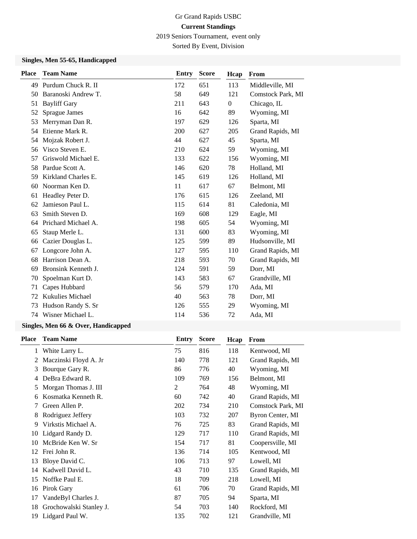2019 Seniors Tournament, event only

Sorted By Event, Division

### **Singles, Men 55-65, Handicapped**

| <b>Team Name</b>        | <b>Entry</b> | <b>Score</b> | Hcap           | From              |
|-------------------------|--------------|--------------|----------------|-------------------|
| 49 Purdum Chuck R. II   | 172          | 651          | 113            | Middleville, MI   |
| Baranoski Andrew T.     | 58           | 649          | 121            | Comstock Park, MI |
| <b>Bayliff Gary</b>     | 211          | 643          | $\overline{0}$ | Chicago, IL       |
| Sprague James           | 16           | 642          | 89             | Wyoming, MI       |
| Merryman Dan R.         | 197          | 629          | 126            | Sparta, MI        |
| Etienne Mark R.         | 200          | 627          | 205            | Grand Rapids, MI  |
| Mojzak Robert J.        | 44           | 627          | 45             | Sparta, MI        |
| Visco Steven E.         | 210          | 624          | 59             | Wyoming, MI       |
| Griswold Michael E.     | 133          | 622          | 156            | Wyoming, MI       |
| Pardue Scott A.         | 146          | 620          | 78             | Holland, MI       |
| Kirkland Charles E.     | 145          | 619          | 126            | Holland, MI       |
| Noorman Ken D.          | 11           | 617          | 67             | Belmont, MI       |
| Headley Peter D.        | 176          | 615          | 126            | Zeeland, MI       |
| Jamieson Paul L.        | 115          | 614          | 81             | Caledonia, MI     |
| Smith Steven D.         | 169          | 608          | 129            | Eagle, MI         |
| Prichard Michael A.     | 198          | 605          | 54             | Wyoming, MI       |
| Staup Merle L.          | 131          | 600          | 83             | Wyoming, MI       |
| Cazier Douglas L.       | 125          | 599          | 89             | Hudsonville, MI   |
| Longcore John A.        | 127          | 595          | 110            | Grand Rapids, MI  |
| Harrison Dean A.        | 218          | 593          | 70             | Grand Rapids, MI  |
| Bronsink Kenneth J.     | 124          | 591          | 59             | Dorr, MI          |
| Spoelman Kurt D.        | 143          | 583          | 67             | Grandville, MI    |
| Capes Hubbard           | 56           | 579          | 170            | Ada, MI           |
| <b>Kukulies Michael</b> | 40           | 563          | 78             | Dorr, MI          |
| Hudson Randy S. Sr      | 126          | 555          | 29             | Wyoming, MI       |
| Wisner Michael L.       | 114          | 536          | 72             | Ada, MI           |
|                         |              |              |                |                   |

### **Singles, Men 66 & Over, Handicapped**

| <b>Team Name</b>        | Entry | <b>Score</b> | Hcap | From              |
|-------------------------|-------|--------------|------|-------------------|
| White Larry L.          | 75    | 816          | 118  | Kentwood, MI      |
| Maczinski Floyd A. Jr   | 140   | 778          | 121  | Grand Rapids, MI  |
| Bourque Gary R.         | 86    | 776          | 40   | Wyoming, MI       |
| DeBra Edward R.         | 109   | 769          | 156  | Belmont, MI       |
| Morgan Thomas J. III    | 2     | 764          | 48   | Wyoming, MI       |
| Kosmatka Kenneth R.     | 60    | 742          | 40   | Grand Rapids, MI  |
| Green Allen P.          | 202   | 734          | 210  | Comstock Park, MI |
| Rodriguez Jeffery       | 103   | 732          | 207  | Byron Center, MI  |
| Virkstis Michael A.     | 76    | 725          | 83   | Grand Rapids, MI  |
| Lidgard Randy D.        | 129   | 717          | 110  | Grand Rapids, MI  |
| McBride Ken W. Sr       | 154   | 717          | 81   | Coopersville, MI  |
| Frei John R.            | 136   | 714          | 105  | Kentwood, MI      |
| Bloye David C.          | 106   | 713          | 97   | Lowell, MI        |
| Kadwell David L.        | 43    | 710          | 135  | Grand Rapids, MI  |
| Noffke Paul E.          | 18    | 709          | 218  | Lowell, MI        |
| Pirok Gary              | 61    | 706          | 70   | Grand Rapids, MI  |
| VandeByl Charles J.     | 87    | 705          | 94   | Sparta, MI        |
| Grochowalski Stanley J. | 54    | 703          | 140  | Rockford, MI      |
| Lidgard Paul W.         | 135   | 702          | 121  | Grandville, MI    |
|                         |       |              |      |                   |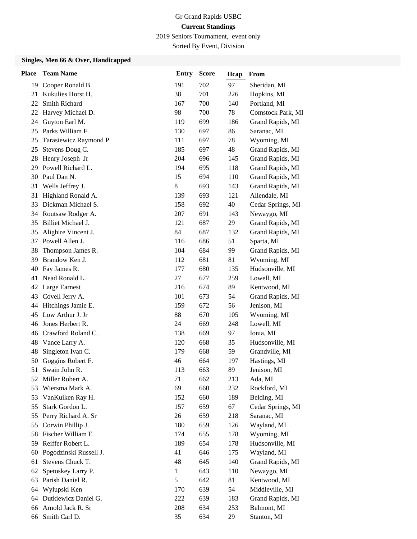2019 Seniors Tournament, event only

Sorted By Event, Division

#### **Singles, Men 66 & Over, Handicapped**

| <b>Place</b> | <b>Team Name</b>       | <b>Entry</b> | <b>Score</b> | Hcap | From              |
|--------------|------------------------|--------------|--------------|------|-------------------|
|              | 19 Cooper Ronald B.    | 191          | 702          | 97   | Sheridan, MI      |
| 21           | Kukulies Horst H.      | 38           | 701          | 226  | Hopkins, MI       |
| 22           | Smith Richard          | 167          | 700          | 140  | Portland, MI      |
| 22           | Harvey Michael D.      | 98           | 700          | 78   | Comstock Park, MI |
| 24           | Guyton Earl M.         | 119          | 699          | 186  | Grand Rapids, MI  |
| 25           | Parks William F.       | 130          | 697          | 86   | Saranac, MI       |
| 25           | Tarasiewicz Raymond P. | 111          | 697          | 78   | Wyoming, MI       |
| 25           | Stevens Doug C.        | 185          | 697          | 48   | Grand Rapids, MI  |
| 28           | Henry Joseph Jr        | 204          | 696          | 145  | Grand Rapids, MI  |
| 29           | Powell Richard L.      | 194          | 695          | 118  | Grand Rapids, MI  |
| 30           | Paul Dan N.            | 15           | 694          | 110  | Grand Rapids, MI  |
| 31           | Wells Jeffrey J.       | 8            | 693          | 143  | Grand Rapids, MI  |
| 31           | Highland Ronald A.     | 139          | 693          | 121  | Allendale, MI     |
| 33           | Dickman Michael S.     | 158          | 692          | 40   | Cedar Springs, MI |
| 34           | Routsaw Rodger A.      | 207          | 691          | 143  | Newaygo, MI       |
| 35           | Billiet Michael J.     | 121          | 687          | 29   | Grand Rapids, MI  |
| 35           | Alighire Vincent J.    | 84           | 687          | 132  | Grand Rapids, MI  |
| 37           | Powell Allen J.        | 116          | 686          | 51   | Sparta, MI        |
| 38           | Thompson James R.      | 104          | 684          | 99   | Grand Rapids, MI  |
| 39           | Brandow Ken J.         | 112          | 681          | 81   | Wyoming, MI       |
| 40           | Fay James R.           | 177          | 680          | 135  | Hudsonville, MI   |
| 41           | Nead Ronald L.         | 27           | 677          | 259  | Lowell, MI        |
| 42           | Large Earnest          | 216          | 674          | 89   | Kentwood, MI      |
| 43           | Covell Jerry A.        | 101          | 673          | 54   | Grand Rapids, MI  |
| 44           | Hitchings Jamie E.     | 159          | 672          | 56   | Jenison, MI       |
| 45           | Low Arthur J. Jr       | 88           | 670          | 105  | Wyoming, MI       |
| 46           | Jones Herbert R.       | 24           | 669          | 248  | Lowell, MI        |
| 46           | Crawford Roland C.     | 138          | 669          | 97   | Ionia, MI         |
| 48           | Vance Larry A.         | 120          | 668          | 35   | Hudsonville, MI   |
| 48           | Singleton Ivan C.      | 179          | 668          | 59   | Grandville, MI    |
| 50           | Goggins Robert F.      | 46           | 664          | 197  | Hastings, MI      |
| 51           | Swain John R.          | 113          | 663          | 89   | Jenison, MI       |
|              | 52 Miller Robert A.    | 71           | 662          | 213  | Ada, MI           |
| 53           | Wiersma Mark A.        | 69           | 660          | 232  | Rockford, MI      |
| 53           | VanKuiken Ray H.       | 152          | 660          | 189  | Belding, MI       |
| 55           | Stark Gordon L.        | 157          | 659          | 67   | Cedar Springs, MI |
| 55           | Perry Richard A. Sr    | 26           | 659          | 218  | Saranac, MI       |
| 55           | Corwin Phillip J.      | 180          | 659          | 126  | Wayland, MI       |
| 58           | Fischer William F.     | 174          | 655          | 178  | Wyoming, MI       |
| 59           | Reiffer Robert L.      | 189          | 654          | 178  | Hudsonville, MI   |
| 60           | Pogodzinski Russell J. | 41           | 646          | 175  | Wayland, MI       |
| 61           | Stevens Chuck T.       | 48           | 645          | 140  | Grand Rapids, MI  |
| 62           | Spetoskey Larry P.     | $\mathbf{1}$ | 643          | 110  | Newaygo, MI       |
| 63           | Parish Daniel R.       | 5            | 642          | 81   | Kentwood, MI      |
| 64           | Wylupski Ken           | 170          | 639          | 54   | Middleville, MI   |
| 64           | Dutkiewicz Daniel G.   | 222          | 639          | 183  | Grand Rapids, MI  |
| 66           | Arnold Jack R. Sr      | 208          | 634          | 253  | Belmont, MI       |
|              | 66 Smith Carl D.       | 35           | 634          | 29   | Stanton, MI       |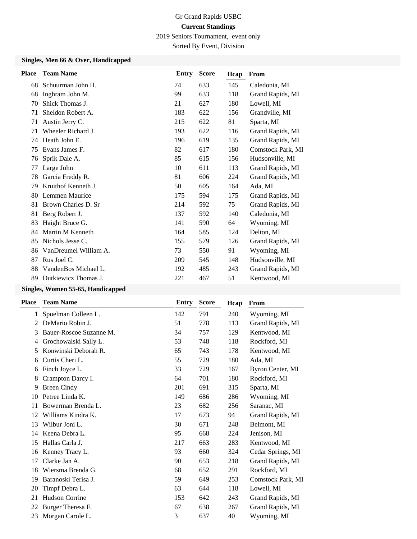2019 Seniors Tournament, event only

Sorted By Event, Division

#### **Singles, Men 66 & Over, Handicapped**

| <b>Place</b> | <b>Team Name</b>      | Entry | <b>Score</b> | Hcap | From              |
|--------------|-----------------------|-------|--------------|------|-------------------|
| 68           | Schuurman John H.     | 74    | 633          | 145  | Caledonia, MI     |
| 68           | Inghram John M.       | 99    | 633          | 118  | Grand Rapids, MI  |
| 70           | Shick Thomas J.       | 21    | 627          | 180  | Lowell, MI        |
| 71           | Sheldon Robert A.     | 183   | 622          | 156  | Grandville, MI    |
| 71           | Austin Jerry C.       | 215   | 622          | 81   | Sparta, MI        |
| 71           | Wheeler Richard J.    | 193   | 622          | 116  | Grand Rapids, MI  |
| 74           | Heath John E.         | 196   | 619          | 135  | Grand Rapids, MI  |
| 75           | Evans James F.        | 82    | 617          | 180  | Comstock Park, MI |
| 76           | Sprik Dale A.         | 85    | 615          | 156  | Hudsonville, MI   |
| 77           | Large John            | 10    | 611          | 113  | Grand Rapids, MI  |
| 78           | Garcia Freddy R.      | 81    | 606          | 224  | Grand Rapids, MI  |
| 79           | Kruithof Kenneth J.   | 50    | 605          | 164  | Ada, MI           |
| 80           | Lemmen Maurice        | 175   | 594          | 175  | Grand Rapids, MI  |
| 81           | Brown Charles D. Sr   | 214   | 592          | 75   | Grand Rapids, MI  |
| 81           | Berg Robert J.        | 137   | 592          | 140  | Caledonia, MI     |
| 83           | Haight Bruce G.       | 141   | 590          | 64   | Wyoming, MI       |
| 84           | Martin M Kenneth      | 164   | 585          | 124  | Delton, MI        |
| 85           | Nichols Jesse C.      | 155   | 579          | 126  | Grand Rapids, MI  |
| 86           | VanDreumel William A. | 73    | 550          | 91   | Wyoming, MI       |
| 87           | Rus Joel C.           | 209   | 545          | 148  | Hudsonville, MI   |
| 88           | VandenBos Michael L.  | 192   | 485          | 243  | Grand Rapids, MI  |
| 89           | Dutkiewicz Thomas J.  | 221   | 467          | 51   | Kentwood, MI      |

# **Singles, Women 55-65, Handicapped**

| Place | <b>Team Name</b>        | Entry | <b>Score</b> | Hcap | From              |
|-------|-------------------------|-------|--------------|------|-------------------|
| 1     | Spoelman Colleen L.     | 142   | 791          | 240  | Wyoming, MI       |
| 2     | DeMario Robin J.        | 51    | 778          | 113  | Grand Rapids, MI  |
| 3     | Bauer-Roscoe Suzanne M. | 34    | 757          | 129  | Kentwood, MI      |
| 4     | Grochowalski Sally L.   | 53    | 748          | 118  | Rockford, MI      |
| 5     | Konwinski Deborah R.    | 65    | 743          | 178  | Kentwood, MI      |
| 6     | Curtis Cheri L.         | 55    | 729          | 180  | Ada, MI           |
| 6     | Finch Joyce L.          | 33    | 729          | 167  | Byron Center, MI  |
| 8     | Crampton Darcy I.       | 64    | 701          | 180  | Rockford, MI      |
| 9     | <b>Breen Cindy</b>      | 201   | 691          | 315  | Sparta, MI        |
| 10    | Petree Linda K.         | 149   | 686          | 286  | Wyoming, MI       |
| 11    | Bowerman Brenda L.      | 23    | 682          | 256  | Saranac, MI       |
| 12    | Williams Kindra K.      | 17    | 673          | 94   | Grand Rapids, MI  |
| 13    | Wilbur Joni L.          | 30    | 671          | 248  | Belmont, MI       |
| 14    | Keena Debra L.          | 95    | 668          | 224  | Jenison, MI       |
| 15    | Hallas Carla J.         | 217   | 663          | 283  | Kentwood, MI      |
| 16    | Kenney Tracy L.         | 93    | 660          | 324  | Cedar Springs, MI |
| 17    | Clarke Jan A.           | 90    | 653          | 218  | Grand Rapids, MI  |
| 18    | Wiersma Brenda G.       | 68    | 652          | 291  | Rockford, MI      |
| 19    | Baranoski Terisa J.     | 59    | 649          | 253  | Comstock Park, MI |
| 20    | Timpf Debra L.          | 63    | 644          | 118  | Lowell, MI        |
| 21    | Hudson Corrine          | 153   | 642          | 243  | Grand Rapids, MI  |
| 22    | Burger Theresa F.       | 67    | 638          | 267  | Grand Rapids, MI  |
| 23    | Morgan Carole L.        | 3     | 637          | 40   | Wyoming, MI       |